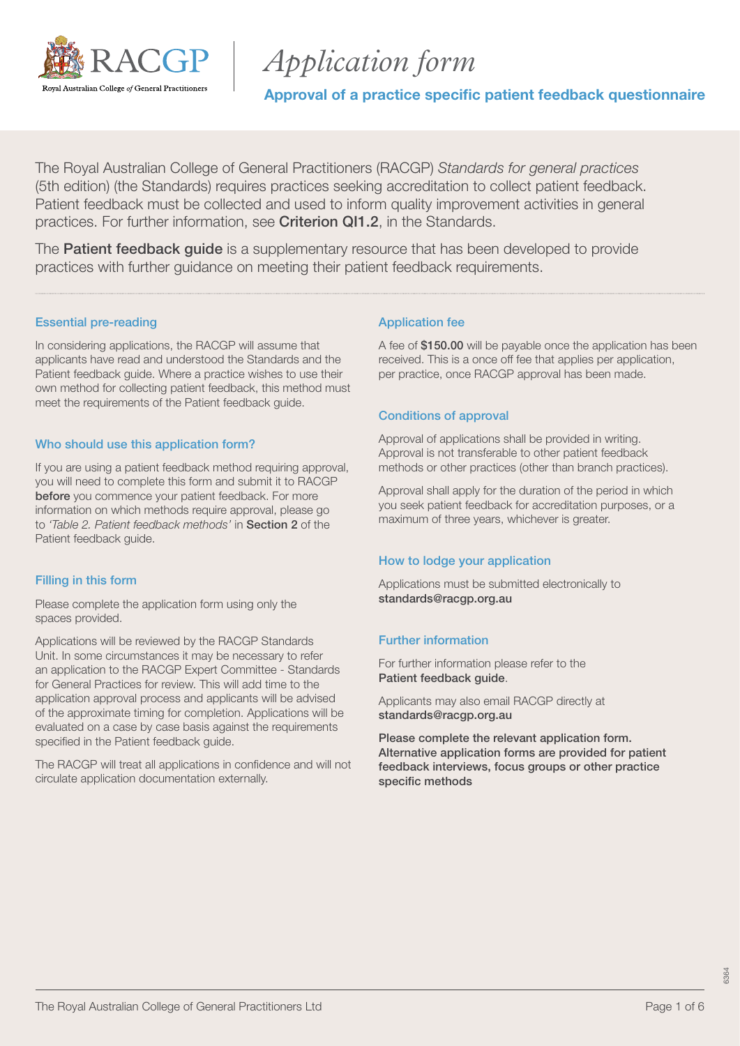

# *Application form*

Approval of a practice specific patient feedback questionnaire

The Royal Australian College of General Practitioners (RACGP) *Standards for general practices* (5th edition) (the Standards) requires practices seeking accreditation to collect patient feedback. Patient feedback must be collected and used to inform quality improvement activities in general practices. For further information, see [Criterion QI1.2](https://www.racgp.org.au/FSDEDEV/media/documents/Running%20a%20practice/Practice%20standards/5th%20edition/Standards-for-general-practice-5th-edition.pdf#page=100), in the Standards.

The **[Patient feedback guide](https://www.racgp.org.au/running-a-practice/practice-standards/standards-5th-edition/patient-feedback-guide)** is a supplementary resource that has been developed to provide practices with further guidance on meeting their patient feedback requirements.

### Essential pre-reading

In considering applications, the RACGP will assume that applicants have read and understood the Standards and the Patient feedback guide. Where a practice wishes to use their own method for collecting patient feedback, this method must meet the requirements of the Patient feedback guide.

### Who should use this application form?

If you are using a patient feedback method requiring approval, you will need to complete this form and submit it to RACGP before you commence your patient feedback. For more information on which methods require approval, please go to *'Table 2. Patient feedback methods'* in [Section 2](https://www.racgp.org.au/FSDEDEV/media/documents/Running%20a%20practice/Practice%20standards/5th%20edition/Patient-feedback-guide.pdf#page=19) of the Patient feedback guide.

### Filling in this form

Please complete the application form using only the spaces provided.

Applications will be reviewed by the RACGP Standards Unit. In some circumstances it may be necessary to refer an application to the RACGP Expert Committee - Standards for General Practices for review. This will add time to the application approval process and applicants will be advised of the approximate timing for completion. Applications will be evaluated on a case by case basis against the requirements specified in the Patient feedback guide.

The RACGP will treat all applications in confidence and will not circulate application documentation externally.

### Application fee

A fee of \$150.00 will be payable once the application has been received. This is a once off fee that applies per application, per practice, once RACGP approval has been made.

### Conditions of approval

Approval of applications shall be provided in writing. Approval is not transferable to other patient feedback methods or other practices (other than branch practices).

Approval shall apply for the duration of the period in which you seek patient feedback for accreditation purposes, or a maximum of three years, whichever is greater.

#### How to lodge your application

Applications must be submitted electronically to [standards@racgp.org.au](mailto:standards%40racgp.org.au?subject=)

### Further information

For further information please refer to the [Patient feedback guide](https://www.racgp.org.au/FSDEDEV/media/documents/Running%20a%20practice/Practice%20standards/5th%20edition/Patient-feedback-guide.pdf).

Applicants may also email RACGP directly at standards@racqp.org.au

Please complete the relevant application form. Alternative application forms are provided for patient feedback interviews, focus groups or other practice specific methods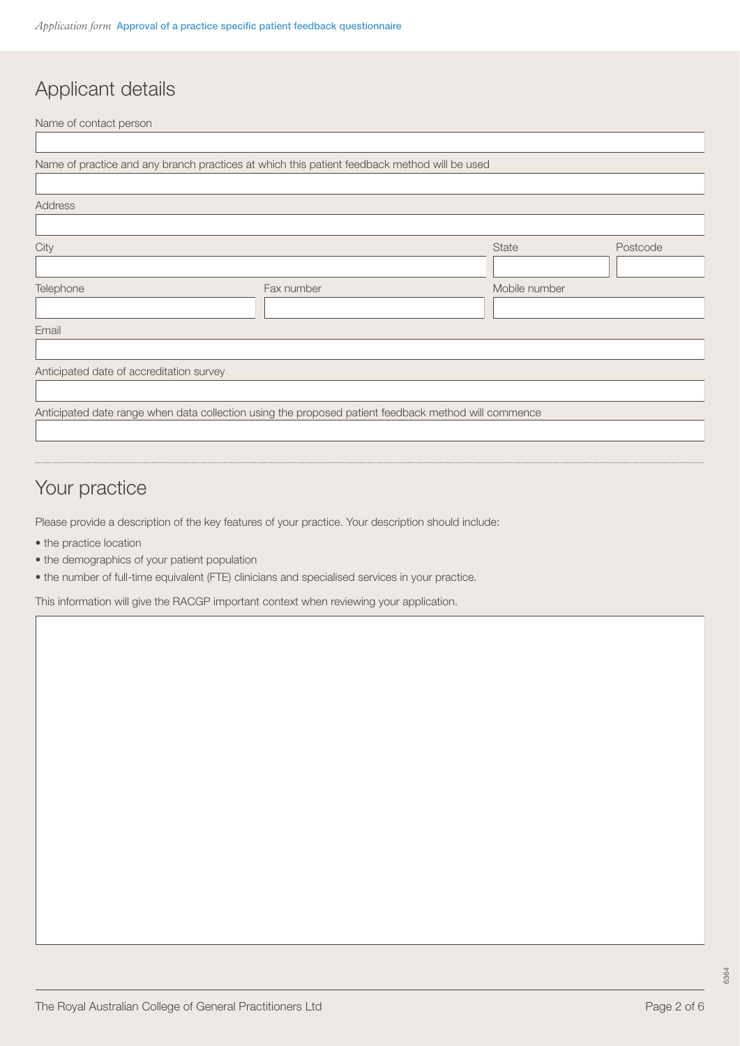# Applicant details

| Name of contact person                   |                                                                                                      |               |          |
|------------------------------------------|------------------------------------------------------------------------------------------------------|---------------|----------|
|                                          |                                                                                                      |               |          |
|                                          | Name of practice and any branch practices at which this patient feedback method will be used         |               |          |
|                                          |                                                                                                      |               |          |
| <b>Address</b>                           |                                                                                                      |               |          |
|                                          |                                                                                                      |               |          |
| City                                     |                                                                                                      | State         | Postcode |
|                                          |                                                                                                      |               |          |
| Telephone                                | Fax number                                                                                           | Mobile number |          |
|                                          |                                                                                                      |               |          |
| Email                                    |                                                                                                      |               |          |
|                                          |                                                                                                      |               |          |
| Anticipated date of accreditation survey |                                                                                                      |               |          |
|                                          |                                                                                                      |               |          |
|                                          | Anticipated date range when data collection using the proposed patient feedback method will commence |               |          |
|                                          |                                                                                                      |               |          |

## Your practice

Please provide a description of the key features of your practice. Your description should include:

- the practice location
- the demographics of your patient population
- the number of full-time equivalent (FTE) clinicians and specialised services in your practice.

This information will give the RACGP important context when reviewing your application.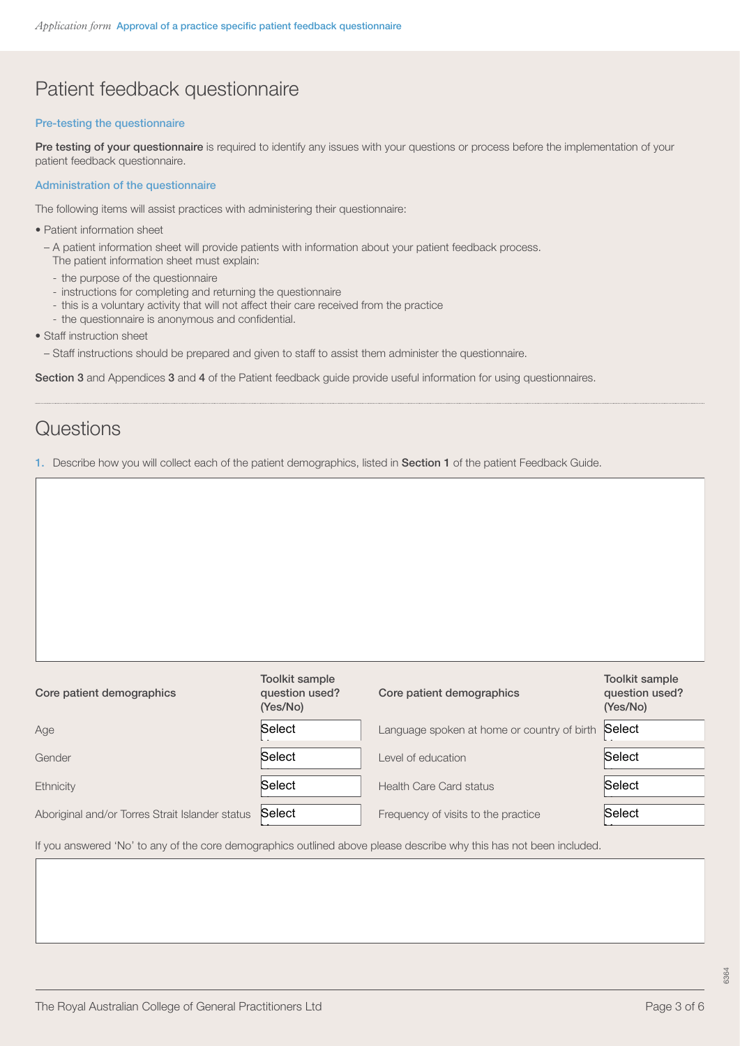## Patient feedback questionnaire

#### Pre-testing the questionnaire

[Pre testing of your questionnaire](https://www.racgp.org.au/FSDEDEV/media/documents/Running%20a%20practice/Practice%20standards/4th%20edition/RACGP-Toolkit-for-developing-practice-specific-questionnaires.pdf#page=35) is required to identify any issues with your questions or process before the implementation of your patient feedback questionnaire.

#### Administration of the questionnaire

The following items will assist practices with administering their questionnaire:

- Patient information sheet
	- A patient information sheet will provide patients with information about your patient feedback process.
	- The patient information sheet must explain:
	- the purpose of the questionnaire
	- instructions for completing and returning the questionnaire
	- this is a voluntary activity that will not affect their care received from the practice
	- the questionnaire is anonymous and confidential.
- Staff instruction sheet
	- Staff instructions should be prepared and given to staff to assist them administer the questionnaire.

[Section 3](https://www.racgp.org.au/FSDEDEV/media/documents/Running%20a%20practice/Practice%20standards/5th%20edition/Patient-feedback-guide.pdf#page=22) and Appendices [3](https://www.racgp.org.au/FSDEDEV/media/documents/Running%20a%20practice/Practice%20standards/5th%20edition/Patient-feedback-guide.pdf#page=45) and [4](https://www.racgp.org.au/FSDEDEV/media/documents/Running%20a%20practice/Practice%20standards/5th%20edition/Patient-feedback-guide.pdf#page=47) of the Patient feedback guide provide useful information for using questionnaires.

### **Questions**

1. Describe how you will collect each of the patient demographics, listed in [Section 1](https://www.racgp.org.au/FSDEDEV/media/documents/Running%20a%20practice/Practice%20standards/5th%20edition/Patient-feedback-guide.pdf#page=13) of the patient Feedback Guide.

| Core patient demographics                       | Toolkit sample<br>question used?<br>(Yes/No) | Core patient demographics                   | <b>Toolkit sample</b><br>question used?<br>(Yes/No) |
|-------------------------------------------------|----------------------------------------------|---------------------------------------------|-----------------------------------------------------|
| Age                                             | Select                                       | Language spoken at home or country of birth | Select                                              |
| Gender                                          | Select                                       | Level of education                          | Select                                              |
| Ethnicity                                       | Select                                       | <b>Health Care Card status</b>              | Select                                              |
| Aboriginal and/or Torres Strait Islander status | Select                                       | Frequency of visits to the practice         | Select                                              |

If you answered 'No' to any of the core demographics outlined above please describe why this has not been included.

Yes No

Yes No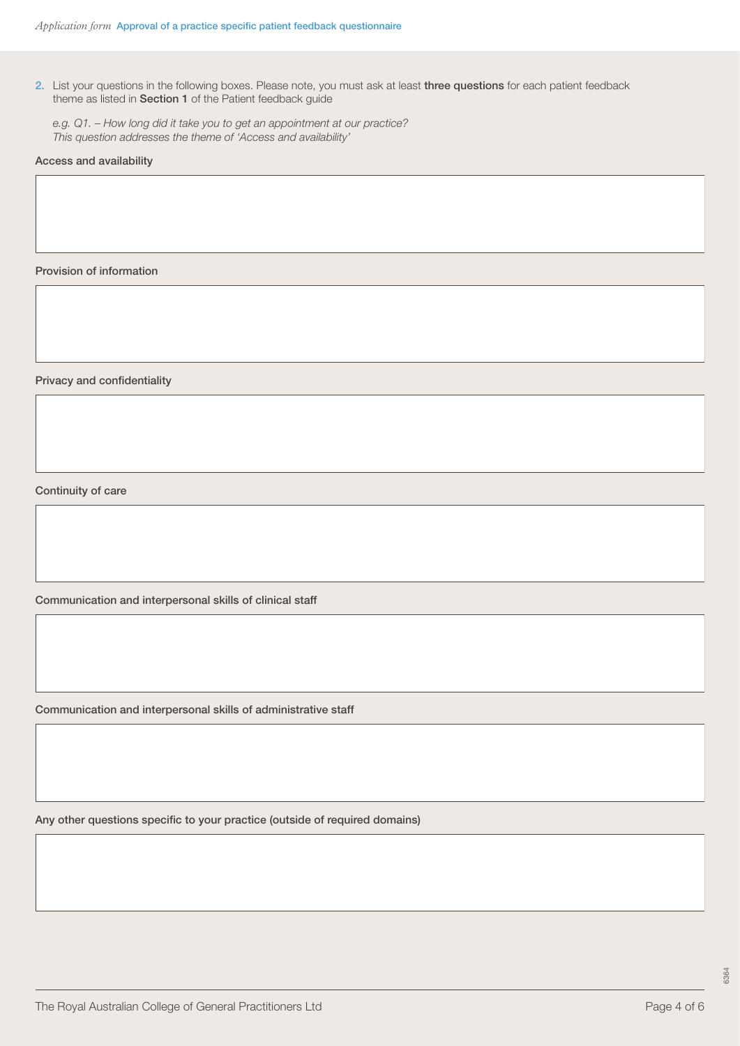2. List your questions in the following boxes. Please note, you must ask at least three questions for each patient feedback theme as listed in [Section 1](https://www.racgp.org.au/FSDEDEV/media/documents/Running%20a%20practice/Practice%20standards/5th%20edition/Patient-feedback-guide.pdf#page=11) of the Patient feedback guide

*e.g. Q1. – How long did it take you to get an appointment at our practice? This question addresses the theme of 'Access and availability'*

#### Access and availability

Provision of information

Privacy and confidentiality

Continuity of care

Communication and interpersonal skills of clinical staff

Communication and interpersonal skills of administrative staff

Any other questions specific to your practice (outside of required domains)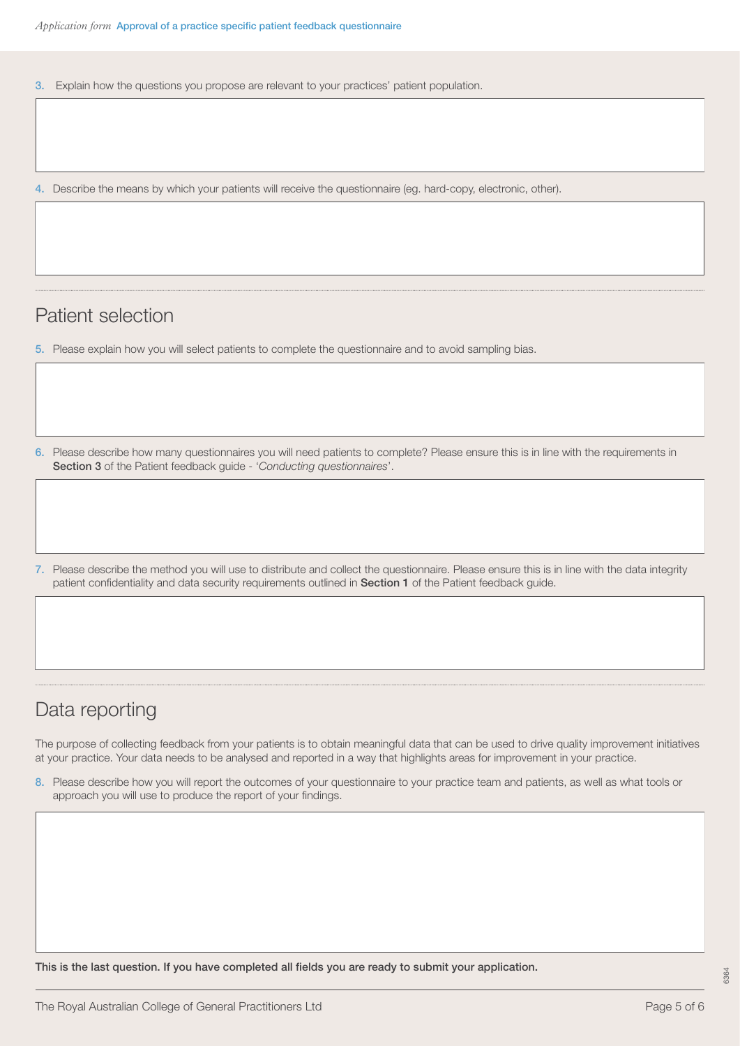3. Explain how the questions you propose are relevant to your practices' patient population.

4. Describe the means by which your patients will receive the questionnaire (eg. hard-copy, electronic, other).

### Patient selection

5. Please explain how you will select patients to complete the questionnaire and to avoid sampling bias.

6. Please describe how many questionnaires you will need patients to complete? Please ensure this is in line with the requirements in [Section 3](https://www.racgp.org.au/FSDEDEV/media/documents/Running%20a%20practice/Practice%20standards/5th%20edition/Patient-feedback-guide.pdf#page=22) of the Patient feedback guide - '*Conducting questionnaires*'.

7. Please describe the method you will use to distribute and collect the questionnaire. Please ensure this is in line with the data integrity patient confidentiality and data security requirements outlined in [Section 1](https://www.racgp.org.au/FSDEDEV/media/documents/Running%20a%20practice/Practice%20standards/5th%20edition/Patient-feedback-guide.pdf#page=15) of the Patient feedback guide.

### Data reporting

The purpose of collecting feedback from your patients is to obtain meaningful data that can be used to drive quality improvement initiatives at your practice. Your data needs to be analysed and reported in a way that highlights areas for improvement in your practice.

8. Please describe how you will report the outcomes of your questionnaire to your practice team and patients, as well as what tools or approach you will use to produce the report of your findings.

This is the last question. If you have completed all fields you are ready to submit your application.